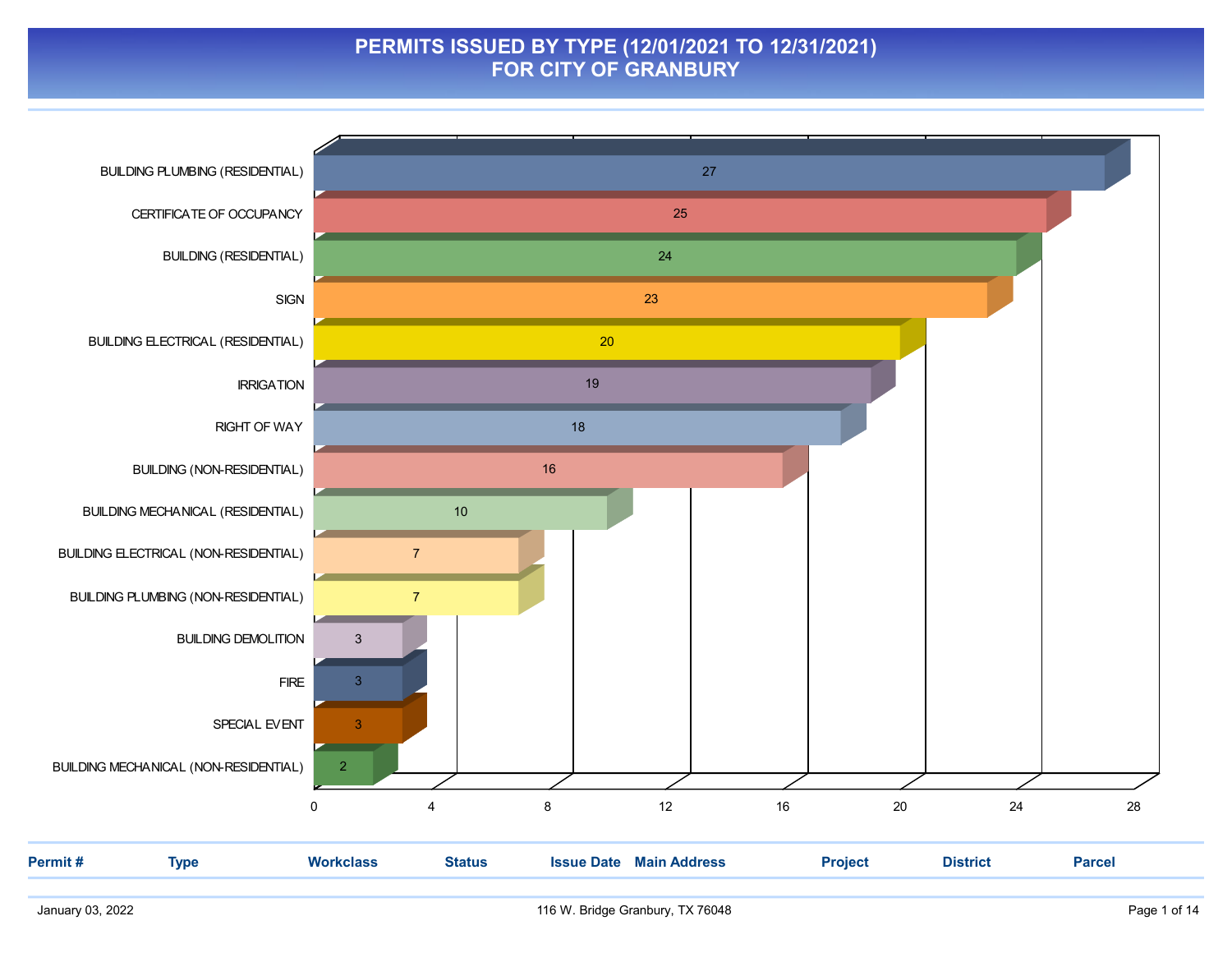#### PERMITS ISSUED BY TYPE (12/01/2021 TO 12/31/2021) FOR CITY OF GRANBURY

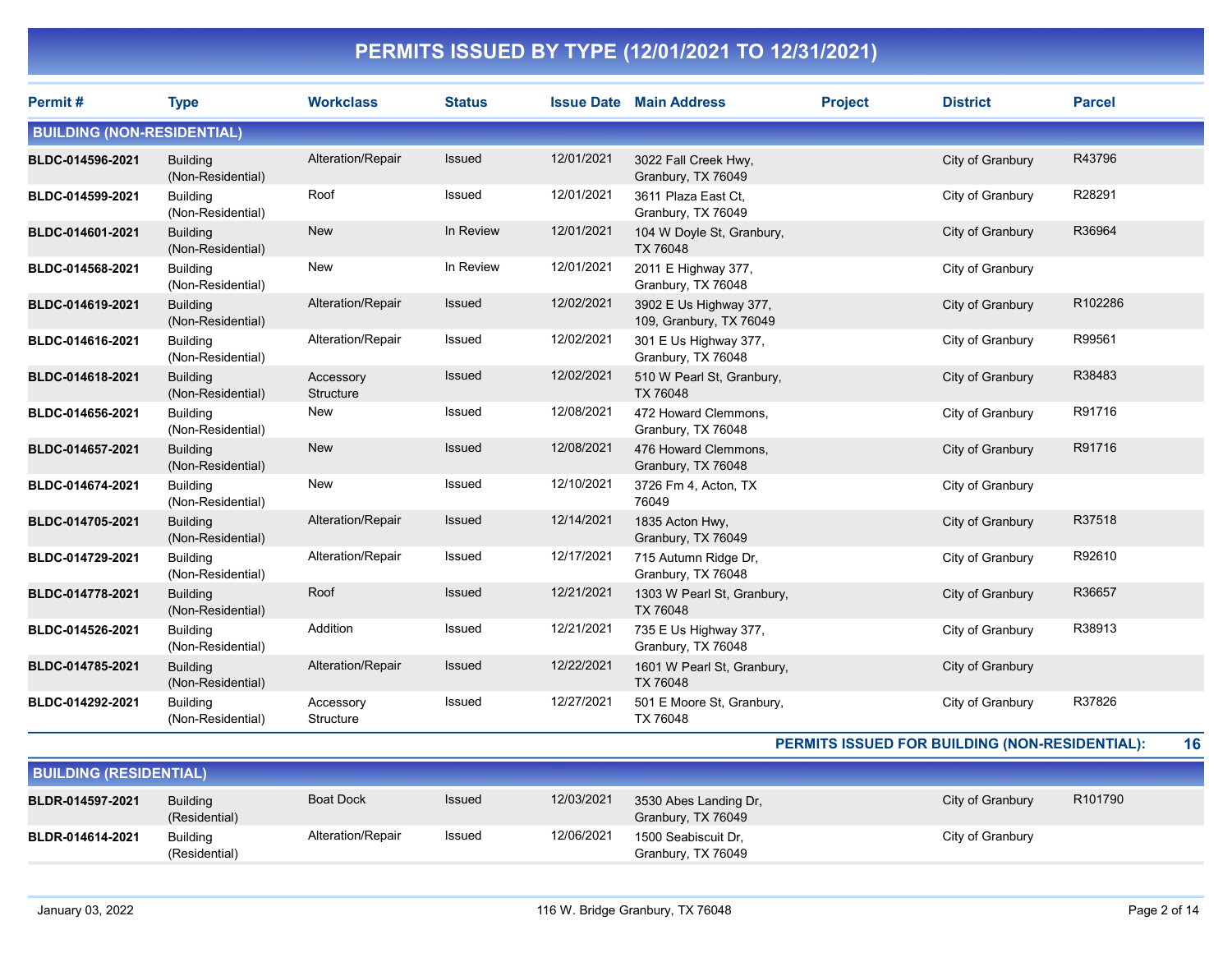| Permit#                           | <b>Type</b>                          | <b>Workclass</b>       | <b>Status</b> |            | <b>Issue Date Main Address</b>                    | <b>Project</b> | <b>District</b>  | <b>Parcel</b> |
|-----------------------------------|--------------------------------------|------------------------|---------------|------------|---------------------------------------------------|----------------|------------------|---------------|
| <b>BUILDING (NON-RESIDENTIAL)</b> |                                      |                        |               |            |                                                   |                |                  |               |
| BLDC-014596-2021                  | <b>Building</b><br>(Non-Residential) | Alteration/Repair      | Issued        | 12/01/2021 | 3022 Fall Creek Hwy,<br>Granbury, TX 76049        |                | City of Granbury | R43796        |
| BLDC-014599-2021                  | <b>Building</b><br>(Non-Residential) | Roof                   | Issued        | 12/01/2021 | 3611 Plaza East Ct.<br>Granbury, TX 76049         |                | City of Granbury | R28291        |
| BLDC-014601-2021                  | <b>Building</b><br>(Non-Residential) | <b>New</b>             | In Review     | 12/01/2021 | 104 W Doyle St, Granbury,<br>TX 76048             |                | City of Granbury | R36964        |
| BLDC-014568-2021                  | <b>Building</b><br>(Non-Residential) | New                    | In Review     | 12/01/2021 | 2011 E Highway 377,<br>Granbury, TX 76048         |                | City of Granbury |               |
| BLDC-014619-2021                  | <b>Building</b><br>(Non-Residential) | Alteration/Repair      | Issued        | 12/02/2021 | 3902 E Us Highway 377,<br>109, Granbury, TX 76049 |                | City of Granbury | R102286       |
| BLDC-014616-2021                  | <b>Building</b><br>(Non-Residential) | Alteration/Repair      | Issued        | 12/02/2021 | 301 E Us Highway 377,<br>Granbury, TX 76048       |                | City of Granbury | R99561        |
| BLDC-014618-2021                  | <b>Building</b><br>(Non-Residential) | Accessory<br>Structure | Issued        | 12/02/2021 | 510 W Pearl St, Granbury,<br>TX 76048             |                | City of Granbury | R38483        |
| BLDC-014656-2021                  | <b>Building</b><br>(Non-Residential) | New                    | Issued        | 12/08/2021 | 472 Howard Clemmons.<br>Granbury, TX 76048        |                | City of Granbury | R91716        |
| BLDC-014657-2021                  | <b>Building</b><br>(Non-Residential) | <b>New</b>             | <b>Issued</b> | 12/08/2021 | 476 Howard Clemmons,<br>Granbury, TX 76048        |                | City of Granbury | R91716        |
| BLDC-014674-2021                  | <b>Building</b><br>(Non-Residential) | <b>New</b>             | Issued        | 12/10/2021 | 3726 Fm 4, Acton, TX<br>76049                     |                | City of Granbury |               |
| BLDC-014705-2021                  | <b>Building</b><br>(Non-Residential) | Alteration/Repair      | Issued        | 12/14/2021 | 1835 Acton Hwy,<br>Granbury, TX 76049             |                | City of Granbury | R37518        |
| BLDC-014729-2021                  | <b>Building</b><br>(Non-Residential) | Alteration/Repair      | Issued        | 12/17/2021 | 715 Autumn Ridge Dr.<br>Granbury, TX 76048        |                | City of Granbury | R92610        |
| BLDC-014778-2021                  | <b>Building</b><br>(Non-Residential) | Roof                   | Issued        | 12/21/2021 | 1303 W Pearl St, Granbury,<br><b>TX 76048</b>     |                | City of Granbury | R36657        |
| BLDC-014526-2021                  | <b>Building</b><br>(Non-Residential) | Addition               | Issued        | 12/21/2021 | 735 E Us Highway 377,<br>Granbury, TX 76048       |                | City of Granbury | R38913        |
| BLDC-014785-2021                  | <b>Building</b><br>(Non-Residential) | Alteration/Repair      | <b>Issued</b> | 12/22/2021 | 1601 W Pearl St, Granbury,<br><b>TX 76048</b>     |                | City of Granbury |               |
| BLDC-014292-2021                  | <b>Building</b><br>(Non-Residential) | Accessory<br>Structure | Issued        | 12/27/2021 | 501 E Moore St, Granbury,<br>TX 76048             |                | City of Granbury | R37826        |

#### PERMITS ISSUED FOR BUILDING (NON-RESIDENTIAL): 16

| <b>BUILDING (RESIDENTIAL)</b> |                                  |                   |               |            |                                             |                  |         |  |  |
|-------------------------------|----------------------------------|-------------------|---------------|------------|---------------------------------------------|------------------|---------|--|--|
| BLDR-014597-2021              | <b>Building</b><br>(Residential) | <b>Boat Dock</b>  | <b>Issued</b> | 12/03/2021 | 3530 Abes Landing Dr,<br>Granbury, TX 76049 | City of Granbury | R101790 |  |  |
| BLDR-014614-2021              | <b>Building</b><br>(Residential) | Alteration/Repair | Issued        | 12/06/2021 | 1500 Seabiscuit Dr.<br>Granbury, TX 76049   | City of Granbury |         |  |  |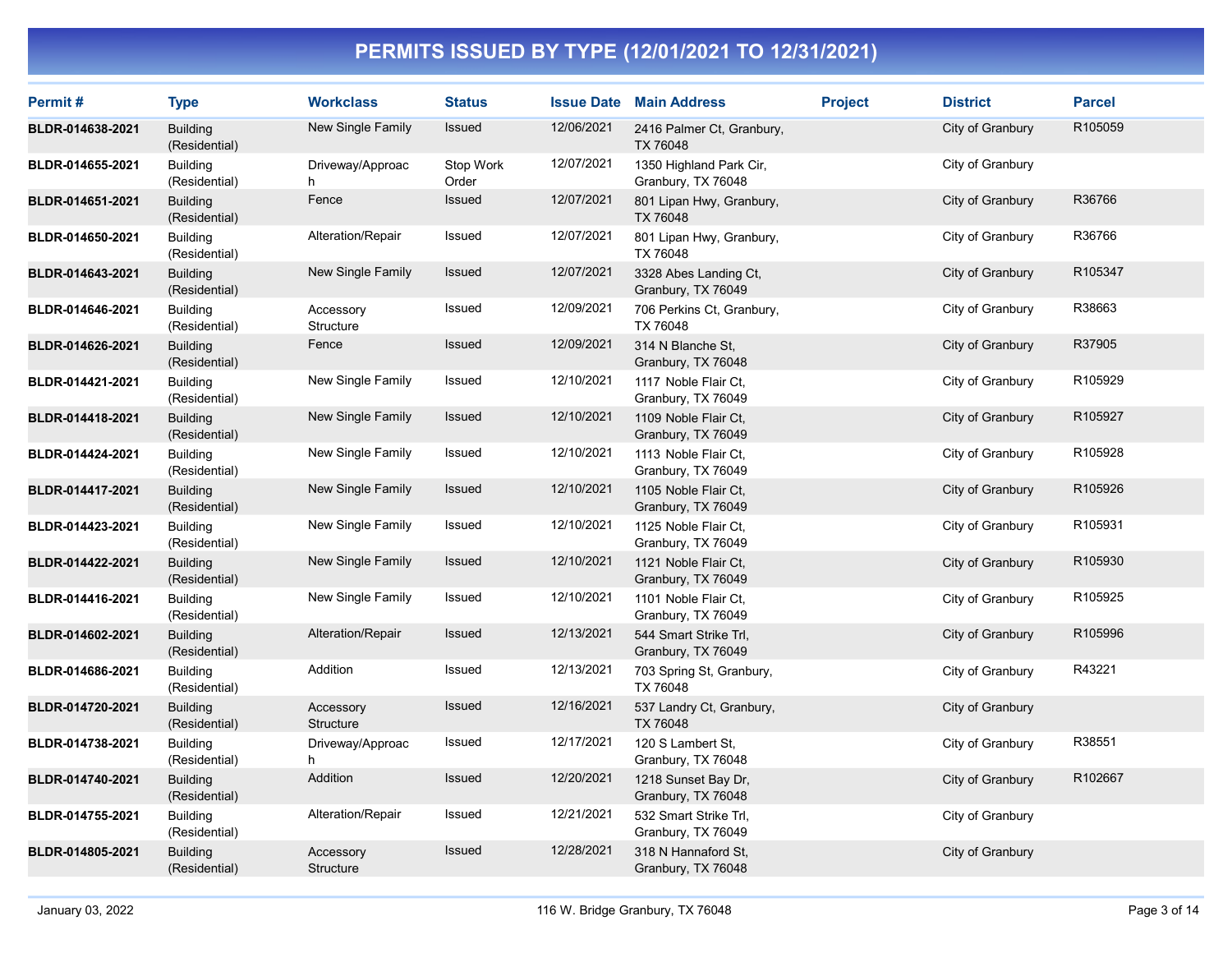| Permit#          | <b>Type</b>                      | <b>Workclass</b>       | <b>Status</b>      |            | <b>Issue Date Main Address</b>                | <b>Project</b> | <b>District</b>  | <b>Parcel</b> |
|------------------|----------------------------------|------------------------|--------------------|------------|-----------------------------------------------|----------------|------------------|---------------|
| BLDR-014638-2021 | <b>Building</b><br>(Residential) | New Single Family      | Issued             | 12/06/2021 | 2416 Palmer Ct, Granbury,<br>TX 76048         |                | City of Granbury | R105059       |
| BLDR-014655-2021 | <b>Building</b><br>(Residential) | Driveway/Approac<br>h  | Stop Work<br>Order | 12/07/2021 | 1350 Highland Park Cir,<br>Granbury, TX 76048 |                | City of Granbury |               |
| BLDR-014651-2021 | <b>Building</b><br>(Residential) | Fence                  | Issued             | 12/07/2021 | 801 Lipan Hwy, Granbury,<br>TX 76048          |                | City of Granbury | R36766        |
| BLDR-014650-2021 | <b>Building</b><br>(Residential) | Alteration/Repair      | Issued             | 12/07/2021 | 801 Lipan Hwy, Granbury,<br>TX 76048          |                | City of Granbury | R36766        |
| BLDR-014643-2021 | <b>Building</b><br>(Residential) | New Single Family      | Issued             | 12/07/2021 | 3328 Abes Landing Ct,<br>Granbury, TX 76049   |                | City of Granbury | R105347       |
| BLDR-014646-2021 | <b>Building</b><br>(Residential) | Accessory<br>Structure | Issued             | 12/09/2021 | 706 Perkins Ct, Granbury,<br>TX 76048         |                | City of Granbury | R38663        |
| BLDR-014626-2021 | <b>Building</b><br>(Residential) | Fence                  | Issued             | 12/09/2021 | 314 N Blanche St,<br>Granbury, TX 76048       |                | City of Granbury | R37905        |
| BLDR-014421-2021 | Building<br>(Residential)        | New Single Family      | Issued             | 12/10/2021 | 1117 Noble Flair Ct.<br>Granbury, TX 76049    |                | City of Granbury | R105929       |
| BLDR-014418-2021 | <b>Building</b><br>(Residential) | New Single Family      | Issued             | 12/10/2021 | 1109 Noble Flair Ct.<br>Granbury, TX 76049    |                | City of Granbury | R105927       |
| BLDR-014424-2021 | <b>Building</b><br>(Residential) | New Single Family      | Issued             | 12/10/2021 | 1113 Noble Flair Ct,<br>Granbury, TX 76049    |                | City of Granbury | R105928       |
| BLDR-014417-2021 | <b>Building</b><br>(Residential) | New Single Family      | Issued             | 12/10/2021 | 1105 Noble Flair Ct.<br>Granbury, TX 76049    |                | City of Granbury | R105926       |
| BLDR-014423-2021 | <b>Building</b><br>(Residential) | New Single Family      | Issued             | 12/10/2021 | 1125 Noble Flair Ct,<br>Granbury, TX 76049    |                | City of Granbury | R105931       |
| BLDR-014422-2021 | <b>Building</b><br>(Residential) | New Single Family      | Issued             | 12/10/2021 | 1121 Noble Flair Ct.<br>Granbury, TX 76049    |                | City of Granbury | R105930       |
| BLDR-014416-2021 | <b>Building</b><br>(Residential) | New Single Family      | Issued             | 12/10/2021 | 1101 Noble Flair Ct,<br>Granbury, TX 76049    |                | City of Granbury | R105925       |
| BLDR-014602-2021 | <b>Building</b><br>(Residential) | Alteration/Repair      | Issued             | 12/13/2021 | 544 Smart Strike Trl,<br>Granbury, TX 76049   |                | City of Granbury | R105996       |
| BLDR-014686-2021 | <b>Building</b><br>(Residential) | Addition               | Issued             | 12/13/2021 | 703 Spring St, Granbury,<br>TX 76048          |                | City of Granbury | R43221        |
| BLDR-014720-2021 | <b>Building</b><br>(Residential) | Accessory<br>Structure | Issued             | 12/16/2021 | 537 Landry Ct, Granbury,<br>TX 76048          |                | City of Granbury |               |
| BLDR-014738-2021 | <b>Building</b><br>(Residential) | Driveway/Approac<br>h  | Issued             | 12/17/2021 | 120 S Lambert St.<br>Granbury, TX 76048       |                | City of Granbury | R38551        |
| BLDR-014740-2021 | <b>Building</b><br>(Residential) | Addition               | Issued             | 12/20/2021 | 1218 Sunset Bay Dr,<br>Granbury, TX 76048     |                | City of Granbury | R102667       |
| BLDR-014755-2021 | <b>Building</b><br>(Residential) | Alteration/Repair      | Issued             | 12/21/2021 | 532 Smart Strike Trl,<br>Granbury, TX 76049   |                | City of Granbury |               |
| BLDR-014805-2021 | <b>Building</b><br>(Residential) | Accessory<br>Structure | <b>Issued</b>      | 12/28/2021 | 318 N Hannaford St,<br>Granbury, TX 76048     |                | City of Granbury |               |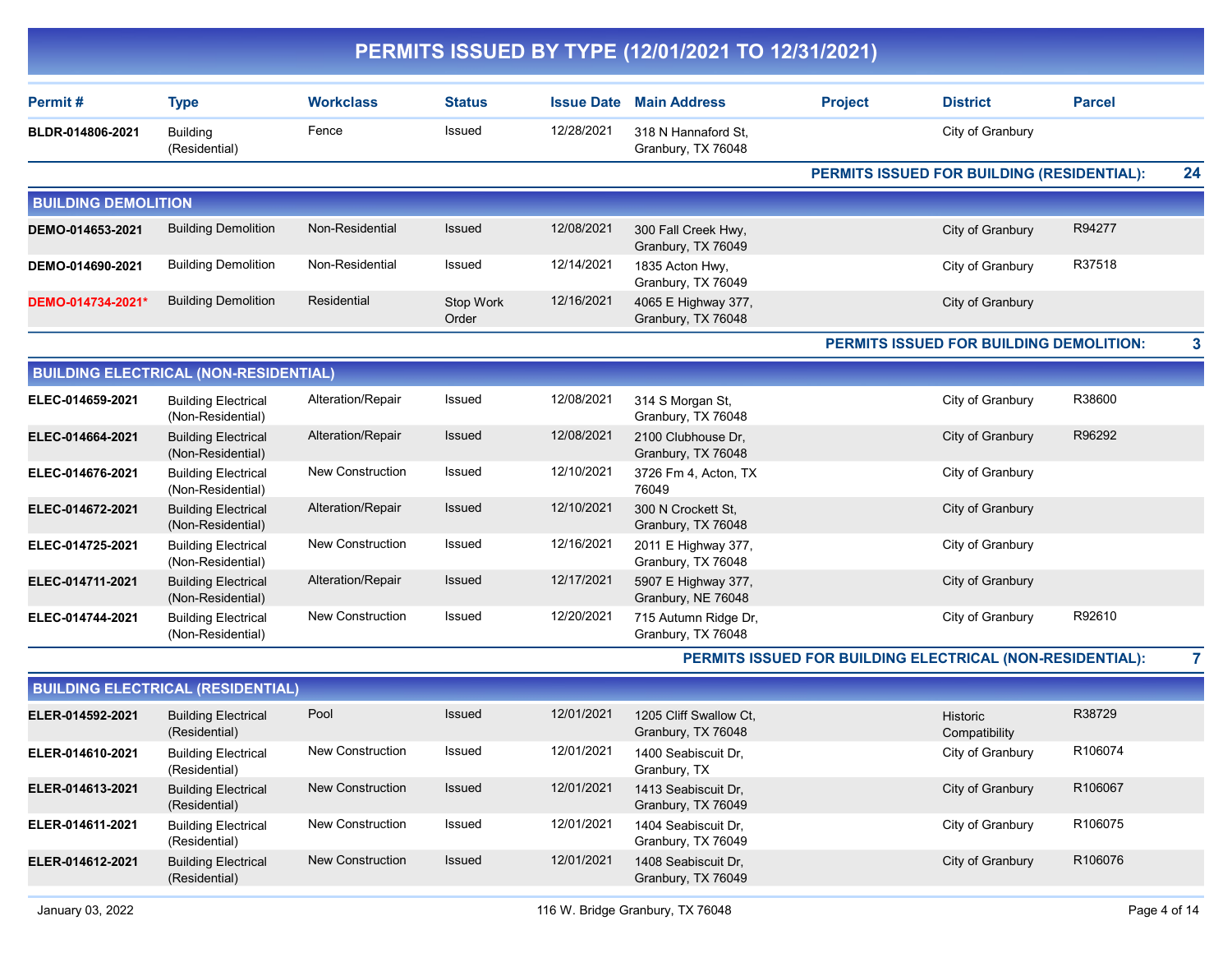|                            |                                                 |                         |                    |                   | PERMITS ISSUED BY TYPE (12/01/2021 TO 12/31/2021) |                |                                                           |               |                         |
|----------------------------|-------------------------------------------------|-------------------------|--------------------|-------------------|---------------------------------------------------|----------------|-----------------------------------------------------------|---------------|-------------------------|
| Permit#                    | <b>Type</b>                                     | <b>Workclass</b>        | <b>Status</b>      | <b>Issue Date</b> | <b>Main Address</b>                               | <b>Project</b> | <b>District</b>                                           | <b>Parcel</b> |                         |
| BLDR-014806-2021           | <b>Building</b><br>(Residential)                | Fence                   | Issued             | 12/28/2021        | 318 N Hannaford St,<br>Granbury, TX 76048         |                | City of Granbury                                          |               |                         |
|                            |                                                 |                         |                    |                   |                                                   |                | PERMITS ISSUED FOR BUILDING (RESIDENTIAL):                |               | 24                      |
| <b>BUILDING DEMOLITION</b> |                                                 |                         |                    |                   |                                                   |                |                                                           |               |                         |
| DEMO-014653-2021           | <b>Building Demolition</b>                      | Non-Residential         | Issued             | 12/08/2021        | 300 Fall Creek Hwy,<br>Granbury, TX 76049         |                | City of Granbury                                          | R94277        |                         |
| DEMO-014690-2021           | <b>Building Demolition</b>                      | Non-Residential         | Issued             | 12/14/2021        | 1835 Acton Hwy,<br>Granbury, TX 76049             |                | City of Granbury                                          | R37518        |                         |
| DEMO-014734-2021*          | <b>Building Demolition</b>                      | Residential             | Stop Work<br>Order | 12/16/2021        | 4065 E Highway 377,<br>Granbury, TX 76048         |                | City of Granbury                                          |               |                         |
|                            |                                                 |                         |                    |                   |                                                   |                | PERMITS ISSUED FOR BUILDING DEMOLITION:                   |               | $\mathbf{3}$            |
|                            | <b>BUILDING ELECTRICAL (NON-RESIDENTIAL)</b>    |                         |                    |                   |                                                   |                |                                                           |               |                         |
| ELEC-014659-2021           | <b>Building Electrical</b><br>(Non-Residential) | Alteration/Repair       | Issued             | 12/08/2021        | 314 S Morgan St,<br>Granbury, TX 76048            |                | City of Granbury                                          | R38600        |                         |
| ELEC-014664-2021           | <b>Building Electrical</b><br>(Non-Residential) | Alteration/Repair       | Issued             | 12/08/2021        | 2100 Clubhouse Dr,<br>Granbury, TX 76048          |                | City of Granbury                                          | R96292        |                         |
| ELEC-014676-2021           | <b>Building Electrical</b><br>(Non-Residential) | <b>New Construction</b> | Issued             | 12/10/2021        | 3726 Fm 4, Acton, TX<br>76049                     |                | City of Granbury                                          |               |                         |
| ELEC-014672-2021           | <b>Building Electrical</b><br>(Non-Residential) | Alteration/Repair       | Issued             | 12/10/2021        | 300 N Crockett St.<br>Granbury, TX 76048          |                | City of Granbury                                          |               |                         |
| ELEC-014725-2021           | <b>Building Electrical</b><br>(Non-Residential) | <b>New Construction</b> | Issued             | 12/16/2021        | 2011 E Highway 377,<br>Granbury, TX 76048         |                | City of Granbury                                          |               |                         |
| ELEC-014711-2021           | <b>Building Electrical</b><br>(Non-Residential) | Alteration/Repair       | Issued             | 12/17/2021        | 5907 E Highway 377,<br>Granbury, NE 76048         |                | City of Granbury                                          |               |                         |
| ELEC-014744-2021           | <b>Building Electrical</b><br>(Non-Residential) | <b>New Construction</b> | Issued             | 12/20/2021        | 715 Autumn Ridge Dr,<br>Granbury, TX 76048        |                | City of Granbury                                          | R92610        |                         |
|                            |                                                 |                         |                    |                   |                                                   |                | PERMITS ISSUED FOR BUILDING ELECTRICAL (NON-RESIDENTIAL): |               | $\overline{\mathbf{z}}$ |
|                            | <b>BUILDING ELECTRICAL (RESIDENTIAL)</b>        |                         |                    |                   |                                                   |                |                                                           |               |                         |
| ELER-014592-2021           | <b>Building Electrical</b><br>(Residential)     | Pool                    | Issued             | 12/01/2021        | 1205 Cliff Swallow Ct,<br>Granbury, TX 76048      |                | Historic<br>Compatibility                                 | R38729        |                         |
| ELER-014610-2021           | <b>Building Electrical</b><br>(Residential)     | <b>New Construction</b> | Issued             | 12/01/2021        | 1400 Seabiscuit Dr,<br>Granbury, TX               |                | City of Granbury                                          | R106074       |                         |
| ELER-014613-2021           | <b>Building Electrical</b><br>(Residential)     | <b>New Construction</b> | Issued             | 12/01/2021        | 1413 Seabiscuit Dr,<br>Granbury, TX 76049         |                | City of Granbury                                          | R106067       |                         |
| ELER-014611-2021           | <b>Building Electrical</b><br>(Residential)     | New Construction        | Issued             | 12/01/2021        | 1404 Seabiscuit Dr,<br>Granbury, TX 76049         |                | City of Granbury                                          | R106075       |                         |
| ELER-014612-2021           | <b>Building Electrical</b><br>(Residential)     | <b>New Construction</b> | Issued             | 12/01/2021        | 1408 Seabiscuit Dr,<br>Granbury, TX 76049         |                | City of Granbury                                          | R106076       |                         |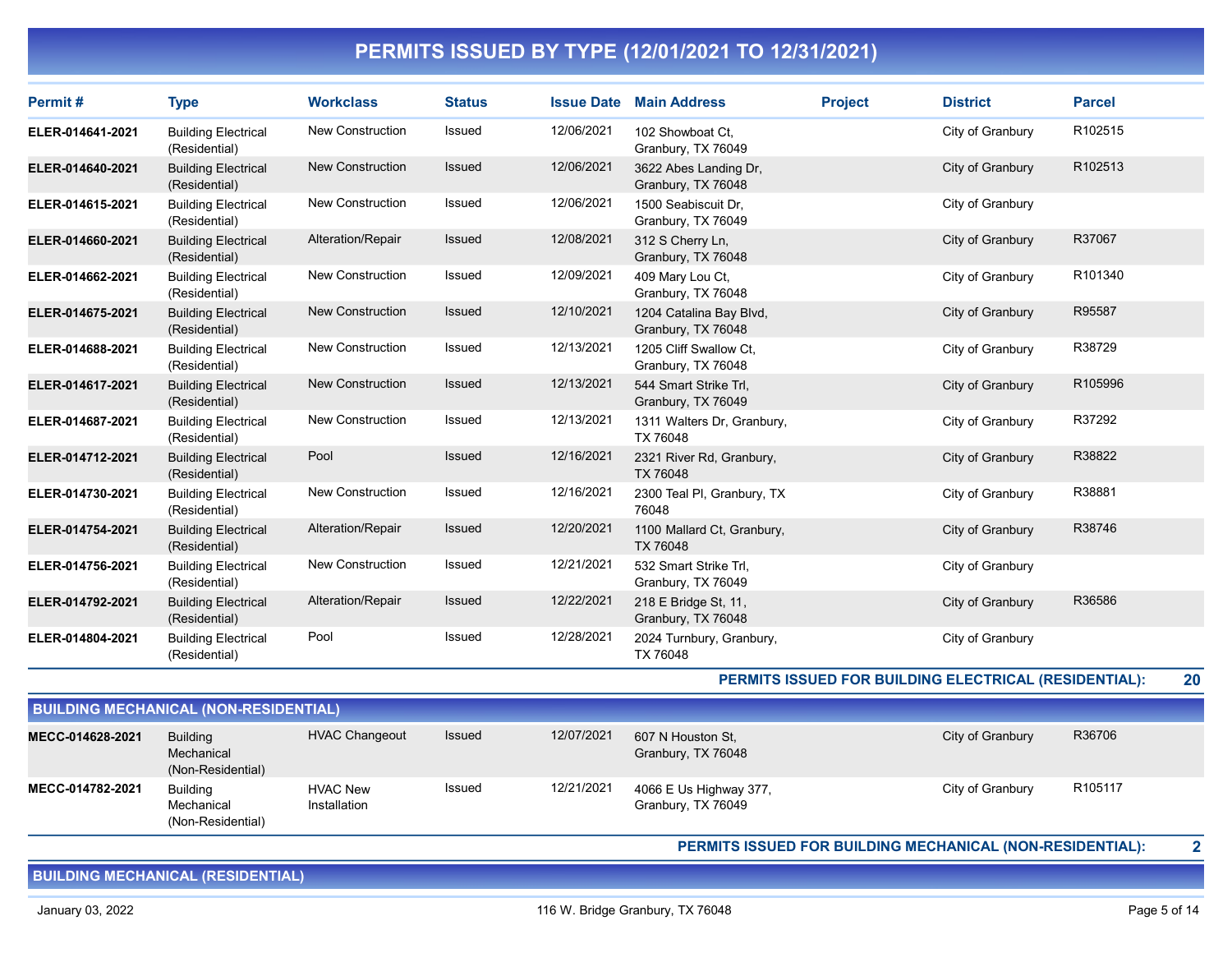| Permit#          | <b>Type</b>                                 | <b>Workclass</b>        | <b>Status</b> | <b>Issue Date</b> | <b>Main Address</b>                           | <b>Project</b> | <b>District</b>  | <b>Parcel</b> |
|------------------|---------------------------------------------|-------------------------|---------------|-------------------|-----------------------------------------------|----------------|------------------|---------------|
| ELER-014641-2021 | <b>Building Electrical</b><br>(Residential) | New Construction        | Issued        | 12/06/2021        | 102 Showboat Ct,<br>Granbury, TX 76049        |                | City of Granbury | R102515       |
| ELER-014640-2021 | <b>Building Electrical</b><br>(Residential) | <b>New Construction</b> | <b>Issued</b> | 12/06/2021        | 3622 Abes Landing Dr,<br>Granbury, TX 76048   |                | City of Granbury | R102513       |
| ELER-014615-2021 | <b>Building Electrical</b><br>(Residential) | <b>New Construction</b> | Issued        | 12/06/2021        | 1500 Seabiscuit Dr,<br>Granbury, TX 76049     |                | City of Granbury |               |
| ELER-014660-2021 | <b>Building Electrical</b><br>(Residential) | Alteration/Repair       | Issued        | 12/08/2021        | 312 S Cherry Ln.<br>Granbury, TX 76048        |                | City of Granbury | R37067        |
| ELER-014662-2021 | <b>Building Electrical</b><br>(Residential) | <b>New Construction</b> | Issued        | 12/09/2021        | 409 Mary Lou Ct.<br>Granbury, TX 76048        |                | City of Granbury | R101340       |
| ELER-014675-2021 | <b>Building Electrical</b><br>(Residential) | <b>New Construction</b> | <b>Issued</b> | 12/10/2021        | 1204 Catalina Bay Blvd,<br>Granbury, TX 76048 |                | City of Granbury | R95587        |
| ELER-014688-2021 | <b>Building Electrical</b><br>(Residential) | <b>New Construction</b> | Issued        | 12/13/2021        | 1205 Cliff Swallow Ct,<br>Granbury, TX 76048  |                | City of Granbury | R38729        |
| ELER-014617-2021 | <b>Building Electrical</b><br>(Residential) | <b>New Construction</b> | <b>Issued</b> | 12/13/2021        | 544 Smart Strike Trl,<br>Granbury, TX 76049   |                | City of Granbury | R105996       |
| ELER-014687-2021 | <b>Building Electrical</b><br>(Residential) | <b>New Construction</b> | Issued        | 12/13/2021        | 1311 Walters Dr, Granbury,<br>TX 76048        |                | City of Granbury | R37292        |
| ELER-014712-2021 | <b>Building Electrical</b><br>(Residential) | Pool                    | <b>Issued</b> | 12/16/2021        | 2321 River Rd, Granbury,<br>TX 76048          |                | City of Granbury | R38822        |
| ELER-014730-2021 | <b>Building Electrical</b><br>(Residential) | <b>New Construction</b> | Issued        | 12/16/2021        | 2300 Teal PI, Granbury, TX<br>76048           |                | City of Granbury | R38881        |
| ELER-014754-2021 | <b>Building Electrical</b><br>(Residential) | Alteration/Repair       | Issued        | 12/20/2021        | 1100 Mallard Ct, Granbury,<br>TX 76048        |                | City of Granbury | R38746        |
| ELER-014756-2021 | <b>Building Electrical</b><br>(Residential) | <b>New Construction</b> | Issued        | 12/21/2021        | 532 Smart Strike Trl.<br>Granbury, TX 76049   |                | City of Granbury |               |
| ELER-014792-2021 | <b>Building Electrical</b><br>(Residential) | Alteration/Repair       | Issued        | 12/22/2021        | 218 E Bridge St, 11,<br>Granbury, TX 76048    |                | City of Granbury | R36586        |
| ELER-014804-2021 | <b>Building Electrical</b><br>(Residential) | Pool                    | Issued        | 12/28/2021        | 2024 Turnbury, Granbury,<br>TX 76048          |                | City of Granbury |               |

PERMITS ISSUED FOR BUILDING ELECTRICAL (RESIDENTIAL): 20

| <b>BUILDING MECHANICAL (NON-RESIDENTIAL)</b> |                                             |                                 |        |            |                                              |                  |                     |  |  |  |  |
|----------------------------------------------|---------------------------------------------|---------------------------------|--------|------------|----------------------------------------------|------------------|---------------------|--|--|--|--|
| MECC-014628-2021                             | Building<br>Mechanical<br>(Non-Residential) | <b>HVAC Changeout</b>           | Issued | 12/07/2021 | 607 N Houston St.<br>Granbury, TX 76048      | City of Granbury | R36706              |  |  |  |  |
| MECC-014782-2021                             | Building<br>Mechanical<br>(Non-Residential) | <b>HVAC New</b><br>Installation | Issued | 12/21/2021 | 4066 E Us Highway 377,<br>Granbury, TX 76049 | City of Granbury | R <sub>105117</sub> |  |  |  |  |

PERMITS ISSUED FOR BUILDING MECHANICAL (NON-RESIDENTIAL): 2

BUILDING MECHANICAL (RESIDENTIAL)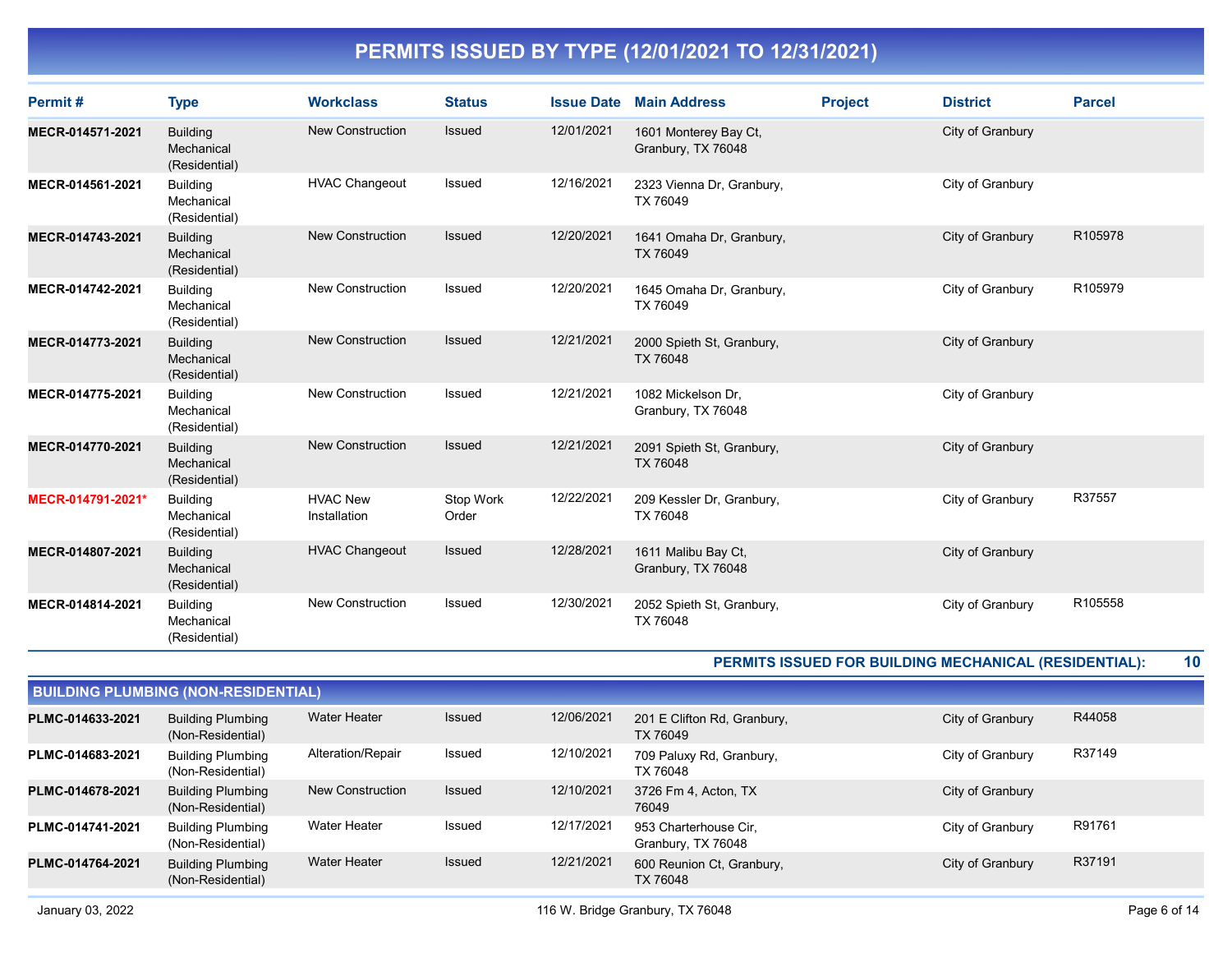| Permit#           | <b>Type</b>                                    | <b>Workclass</b>                | <b>Status</b>      | <b>Issue Date</b> | <b>Main Address</b>                          | <b>Project</b> | <b>District</b>                                              | <b>Parcel</b> |
|-------------------|------------------------------------------------|---------------------------------|--------------------|-------------------|----------------------------------------------|----------------|--------------------------------------------------------------|---------------|
| MECR-014571-2021  | <b>Building</b><br>Mechanical<br>(Residential) | <b>New Construction</b>         | <b>Issued</b>      | 12/01/2021        | 1601 Monterey Bay Ct,<br>Granbury, TX 76048  |                | City of Granbury                                             |               |
| MECR-014561-2021  | <b>Building</b><br>Mechanical<br>(Residential) | <b>HVAC Changeout</b>           | Issued             | 12/16/2021        | 2323 Vienna Dr, Granbury,<br>TX 76049        |                | City of Granbury                                             |               |
| MECR-014743-2021  | <b>Building</b><br>Mechanical<br>(Residential) | New Construction                | <b>Issued</b>      | 12/20/2021        | 1641 Omaha Dr, Granbury,<br>TX 76049         |                | City of Granbury                                             | R105978       |
| MECR-014742-2021  | <b>Building</b><br>Mechanical<br>(Residential) | <b>New Construction</b>         | Issued             | 12/20/2021        | 1645 Omaha Dr, Granbury,<br>TX 76049         |                | City of Granbury                                             | R105979       |
| MECR-014773-2021  | <b>Building</b><br>Mechanical<br>(Residential) | <b>New Construction</b>         | <b>Issued</b>      | 12/21/2021        | 2000 Spieth St, Granbury,<br><b>TX 76048</b> |                | City of Granbury                                             |               |
| MECR-014775-2021  | <b>Building</b><br>Mechanical<br>(Residential) | <b>New Construction</b>         | Issued             | 12/21/2021        | 1082 Mickelson Dr.<br>Granbury, TX 76048     |                | City of Granbury                                             |               |
| MECR-014770-2021  | <b>Building</b><br>Mechanical<br>(Residential) | <b>New Construction</b>         | <b>Issued</b>      | 12/21/2021        | 2091 Spieth St, Granbury,<br>TX 76048        |                | City of Granbury                                             |               |
| MECR-014791-2021* | <b>Building</b><br>Mechanical<br>(Residential) | <b>HVAC New</b><br>Installation | Stop Work<br>Order | 12/22/2021        | 209 Kessler Dr. Granbury.<br>TX 76048        |                | City of Granbury                                             | R37557        |
| MECR-014807-2021  | <b>Building</b><br>Mechanical<br>(Residential) | <b>HVAC Changeout</b>           | Issued             | 12/28/2021        | 1611 Malibu Bay Ct,<br>Granbury, TX 76048    |                | City of Granbury                                             |               |
| MECR-014814-2021  | <b>Building</b><br>Mechanical<br>(Residential) | <b>New Construction</b>         | <b>Issued</b>      | 12/30/2021        | 2052 Spieth St, Granbury,<br>TX 76048        |                | City of Granbury                                             | R105558       |
|                   |                                                |                                 |                    |                   |                                              |                | <b>DEDMITE ISSUED EOD DUILDING MECHANICAL (DESIDENTIAL).</b> | 10            |

PERMITS ISSUED FOR BUILDING MECHANICAL (RESIDENTIAL): 10

| <b>BUILDING PLUMBING (NON-RESIDENTIAL)</b> |                                               |                         |               |            |                                             |                  |        |  |  |  |
|--------------------------------------------|-----------------------------------------------|-------------------------|---------------|------------|---------------------------------------------|------------------|--------|--|--|--|
| PLMC-014633-2021                           | <b>Building Plumbing</b><br>(Non-Residential) | <b>Water Heater</b>     | <b>Issued</b> | 12/06/2021 | 201 E Clifton Rd, Granbury,<br>TX 76049     | City of Granbury | R44058 |  |  |  |
| PLMC-014683-2021                           | <b>Building Plumbing</b><br>(Non-Residential) | Alteration/Repair       | Issued        | 12/10/2021 | 709 Paluxy Rd, Granbury,<br>TX 76048        | City of Granbury | R37149 |  |  |  |
| PLMC-014678-2021                           | <b>Building Plumbing</b><br>(Non-Residential) | <b>New Construction</b> | <b>Issued</b> | 12/10/2021 | 3726 Fm 4, Acton, TX<br>76049               | City of Granbury |        |  |  |  |
| PLMC-014741-2021                           | <b>Building Plumbing</b><br>(Non-Residential) | Water Heater            | Issued        | 12/17/2021 | 953 Charterhouse Cir.<br>Granbury, TX 76048 | City of Granbury | R91761 |  |  |  |
| PLMC-014764-2021                           | <b>Building Plumbing</b><br>(Non-Residential) | <b>Water Heater</b>     | <b>Issued</b> | 12/21/2021 | 600 Reunion Ct, Granbury,<br>TX 76048       | City of Granbury | R37191 |  |  |  |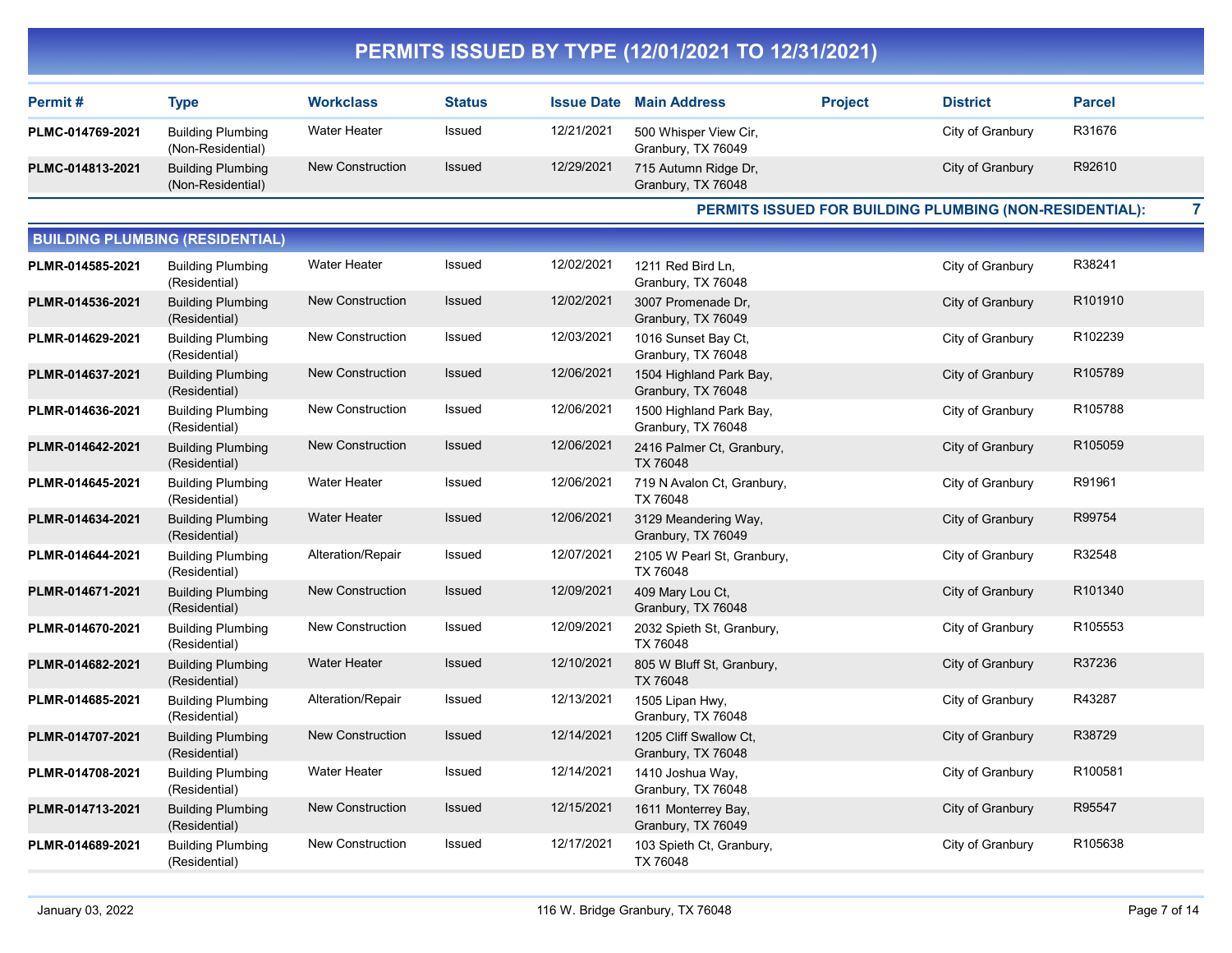| Permit#          | <b>Type</b>                                   | <b>Workclass</b>    | Status | <b>Issue Date</b> | <b>Main Address</b>                         | <b>Project</b> | <b>District</b>  | <b>Parcel</b> |
|------------------|-----------------------------------------------|---------------------|--------|-------------------|---------------------------------------------|----------------|------------------|---------------|
| PLMC-014769-2021 | <b>Building Plumbing</b><br>(Non-Residential) | <b>Water Heater</b> | Issued | 12/21/2021        | 500 Whisper View Cir,<br>Granbury, TX 76049 |                | City of Granbury | R31676        |
| PLMC-014813-2021 | <b>Building Plumbing</b><br>(Non-Residential) | New Construction    | Issued | 12/29/2021        | 715 Autumn Ridge Dr,<br>Granbury, TX 76048  |                | City of Granbury | R92610        |

PERMITS ISSUED FOR BUILDING PLUMBING (NON-RESIDENTIAL): 7

|                  | <b>BUILDING PLUMBING (RESIDENTIAL)</b>    |                         |               |            |                                               |                  |         |
|------------------|-------------------------------------------|-------------------------|---------------|------------|-----------------------------------------------|------------------|---------|
| PLMR-014585-2021 | <b>Building Plumbing</b><br>(Residential) | Water Heater            | Issued        | 12/02/2021 | 1211 Red Bird Ln,<br>Granbury, TX 76048       | City of Granbury | R38241  |
| PLMR-014536-2021 | <b>Building Plumbing</b><br>(Residential) | <b>New Construction</b> | Issued        | 12/02/2021 | 3007 Promenade Dr,<br>Granbury, TX 76049      | City of Granbury | R101910 |
| PLMR-014629-2021 | <b>Building Plumbing</b><br>(Residential) | <b>New Construction</b> | Issued        | 12/03/2021 | 1016 Sunset Bay Ct.<br>Granbury, TX 76048     | City of Granbury | R102239 |
| PLMR-014637-2021 | <b>Building Plumbing</b><br>(Residential) | <b>New Construction</b> | <b>Issued</b> | 12/06/2021 | 1504 Highland Park Bay,<br>Granbury, TX 76048 | City of Granbury | R105789 |
| PLMR-014636-2021 | <b>Building Plumbing</b><br>(Residential) | New Construction        | Issued        | 12/06/2021 | 1500 Highland Park Bay,<br>Granbury, TX 76048 | City of Granbury | R105788 |
| PLMR-014642-2021 | <b>Building Plumbing</b><br>(Residential) | New Construction        | Issued        | 12/06/2021 | 2416 Palmer Ct, Granbury,<br>TX 76048         | City of Granbury | R105059 |
| PLMR-014645-2021 | <b>Building Plumbing</b><br>(Residential) | <b>Water Heater</b>     | Issued        | 12/06/2021 | 719 N Avalon Ct, Granbury,<br>TX 76048        | City of Granbury | R91961  |
| PLMR-014634-2021 | <b>Building Plumbing</b><br>(Residential) | <b>Water Heater</b>     | <b>Issued</b> | 12/06/2021 | 3129 Meandering Way,<br>Granbury, TX 76049    | City of Granbury | R99754  |
| PLMR-014644-2021 | <b>Building Plumbing</b><br>(Residential) | Alteration/Repair       | Issued        | 12/07/2021 | 2105 W Pearl St, Granbury,<br>TX 76048        | City of Granbury | R32548  |
| PLMR-014671-2021 | <b>Building Plumbing</b><br>(Residential) | <b>New Construction</b> | Issued        | 12/09/2021 | 409 Mary Lou Ct,<br>Granbury, TX 76048        | City of Granbury | R101340 |
| PLMR-014670-2021 | <b>Building Plumbing</b><br>(Residential) | <b>New Construction</b> | Issued        | 12/09/2021 | 2032 Spieth St, Granbury,<br>TX 76048         | City of Granbury | R105553 |
| PLMR-014682-2021 | <b>Building Plumbing</b><br>(Residential) | <b>Water Heater</b>     | Issued        | 12/10/2021 | 805 W Bluff St, Granbury,<br>TX 76048         | City of Granbury | R37236  |
| PLMR-014685-2021 | <b>Building Plumbing</b><br>(Residential) | Alteration/Repair       | Issued        | 12/13/2021 | 1505 Lipan Hwy,<br>Granbury, TX 76048         | City of Granbury | R43287  |
| PLMR-014707-2021 | <b>Building Plumbing</b><br>(Residential) | <b>New Construction</b> | Issued        | 12/14/2021 | 1205 Cliff Swallow Ct,<br>Granbury, TX 76048  | City of Granbury | R38729  |
| PLMR-014708-2021 | <b>Building Plumbing</b><br>(Residential) | <b>Water Heater</b>     | Issued        | 12/14/2021 | 1410 Joshua Way,<br>Granbury, TX 76048        | City of Granbury | R100581 |
| PLMR-014713-2021 | <b>Building Plumbing</b><br>(Residential) | <b>New Construction</b> | Issued        | 12/15/2021 | 1611 Monterrey Bay,<br>Granbury, TX 76049     | City of Granbury | R95547  |
| PLMR-014689-2021 | <b>Building Plumbing</b><br>(Residential) | <b>New Construction</b> | Issued        | 12/17/2021 | 103 Spieth Ct, Granbury,<br>TX 76048          | City of Granbury | R105638 |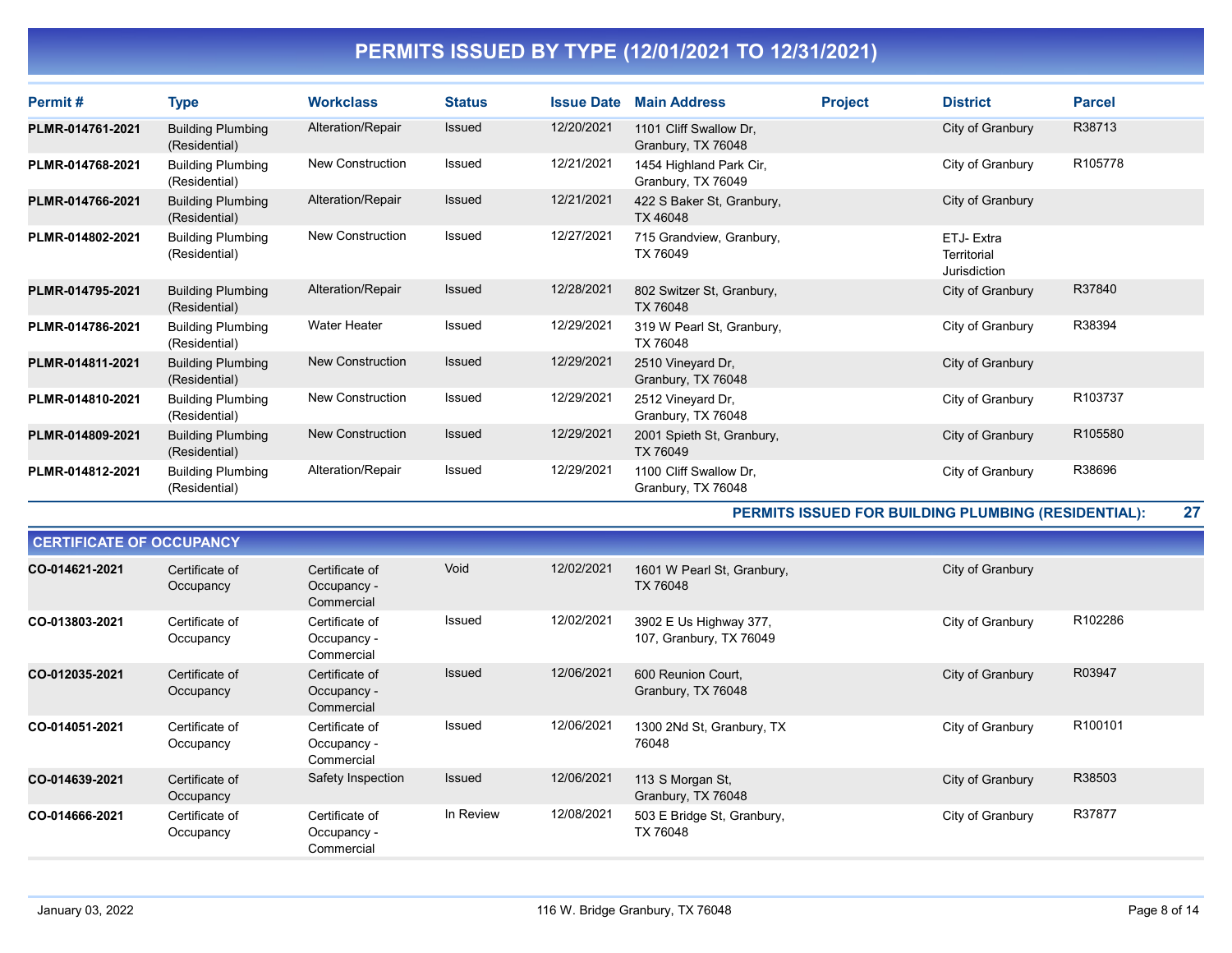| Permit#          | <b>Type</b>                               | <b>Workclass</b>    | <b>Status</b> | <b>Issue Date</b> | <b>Main Address</b>                           | <b>Project</b> | <b>District</b>                           | <b>Parcel</b> |
|------------------|-------------------------------------------|---------------------|---------------|-------------------|-----------------------------------------------|----------------|-------------------------------------------|---------------|
| PLMR-014761-2021 | <b>Building Plumbing</b><br>(Residential) | Alteration/Repair   | <b>Issued</b> | 12/20/2021        | 1101 Cliff Swallow Dr.<br>Granbury, TX 76048  |                | City of Granbury                          | R38713        |
| PLMR-014768-2021 | <b>Building Plumbing</b><br>(Residential) | New Construction    | <b>Issued</b> | 12/21/2021        | 1454 Highland Park Cir,<br>Granbury, TX 76049 |                | City of Granbury                          | R105778       |
| PLMR-014766-2021 | <b>Building Plumbing</b><br>(Residential) | Alteration/Repair   | <b>Issued</b> | 12/21/2021        | 422 S Baker St, Granbury,<br>TX 46048         |                | City of Granbury                          |               |
| PLMR-014802-2021 | <b>Building Plumbing</b><br>(Residential) | New Construction    | <b>Issued</b> | 12/27/2021        | 715 Grandview, Granbury,<br>TX 76049          |                | ETJ- Extra<br>Territorial<br>Jurisdiction |               |
| PLMR-014795-2021 | <b>Building Plumbing</b><br>(Residential) | Alteration/Repair   | Issued        | 12/28/2021        | 802 Switzer St, Granbury,<br>TX 76048         |                | City of Granbury                          | R37840        |
| PLMR-014786-2021 | <b>Building Plumbing</b><br>(Residential) | <b>Water Heater</b> | Issued        | 12/29/2021        | 319 W Pearl St, Granbury,<br>TX 76048         |                | City of Granbury                          | R38394        |
| PLMR-014811-2021 | <b>Building Plumbing</b><br>(Residential) | New Construction    | <b>Issued</b> | 12/29/2021        | 2510 Vineyard Dr,<br>Granbury, TX 76048       |                | City of Granbury                          |               |
| PLMR-014810-2021 | <b>Building Plumbing</b><br>(Residential) | New Construction    | <b>Issued</b> | 12/29/2021        | 2512 Vineyard Dr,<br>Granbury, TX 76048       |                | City of Granbury                          | R103737       |
| PLMR-014809-2021 | <b>Building Plumbing</b><br>(Residential) | New Construction    | <b>Issued</b> | 12/29/2021        | 2001 Spieth St, Granbury,<br>TX 76049         |                | City of Granbury                          | R105580       |
| PLMR-014812-2021 | <b>Building Plumbing</b><br>(Residential) | Alteration/Repair   | Issued        | 12/29/2021        | 1100 Cliff Swallow Dr.<br>Granbury, TX 76048  |                | City of Granbury                          | R38696        |

PERMITS ISSUED FOR BUILDING PLUMBING (RESIDENTIAL): 27

| <b>CERTIFICATE OF OCCUPANCY</b> |                             |                                             |               |            |                                                   |                  |         |  |  |  |  |
|---------------------------------|-----------------------------|---------------------------------------------|---------------|------------|---------------------------------------------------|------------------|---------|--|--|--|--|
| CO-014621-2021                  | Certificate of<br>Occupancy | Certificate of<br>Occupancy -<br>Commercial | Void          | 12/02/2021 | 1601 W Pearl St, Granbury,<br>TX 76048            | City of Granbury |         |  |  |  |  |
| CO-013803-2021                  | Certificate of<br>Occupancy | Certificate of<br>Occupancy -<br>Commercial | Issued        | 12/02/2021 | 3902 E Us Highway 377,<br>107, Granbury, TX 76049 | City of Granbury | R102286 |  |  |  |  |
| CO-012035-2021                  | Certificate of<br>Occupancy | Certificate of<br>Occupancy -<br>Commercial | <b>Issued</b> | 12/06/2021 | 600 Reunion Court,<br>Granbury, TX 76048          | City of Granbury | R03947  |  |  |  |  |
| CO-014051-2021                  | Certificate of<br>Occupancy | Certificate of<br>Occupancy -<br>Commercial | Issued        | 12/06/2021 | 1300 2Nd St, Granbury, TX<br>76048                | City of Granbury | R100101 |  |  |  |  |
| CO-014639-2021                  | Certificate of<br>Occupancy | Safety Inspection                           | Issued        | 12/06/2021 | 113 S Morgan St,<br>Granbury, TX 76048            | City of Granbury | R38503  |  |  |  |  |
| CO-014666-2021                  | Certificate of<br>Occupancy | Certificate of<br>Occupancy -<br>Commercial | In Review     | 12/08/2021 | 503 E Bridge St, Granbury,<br>TX 76048            | City of Granbury | R37877  |  |  |  |  |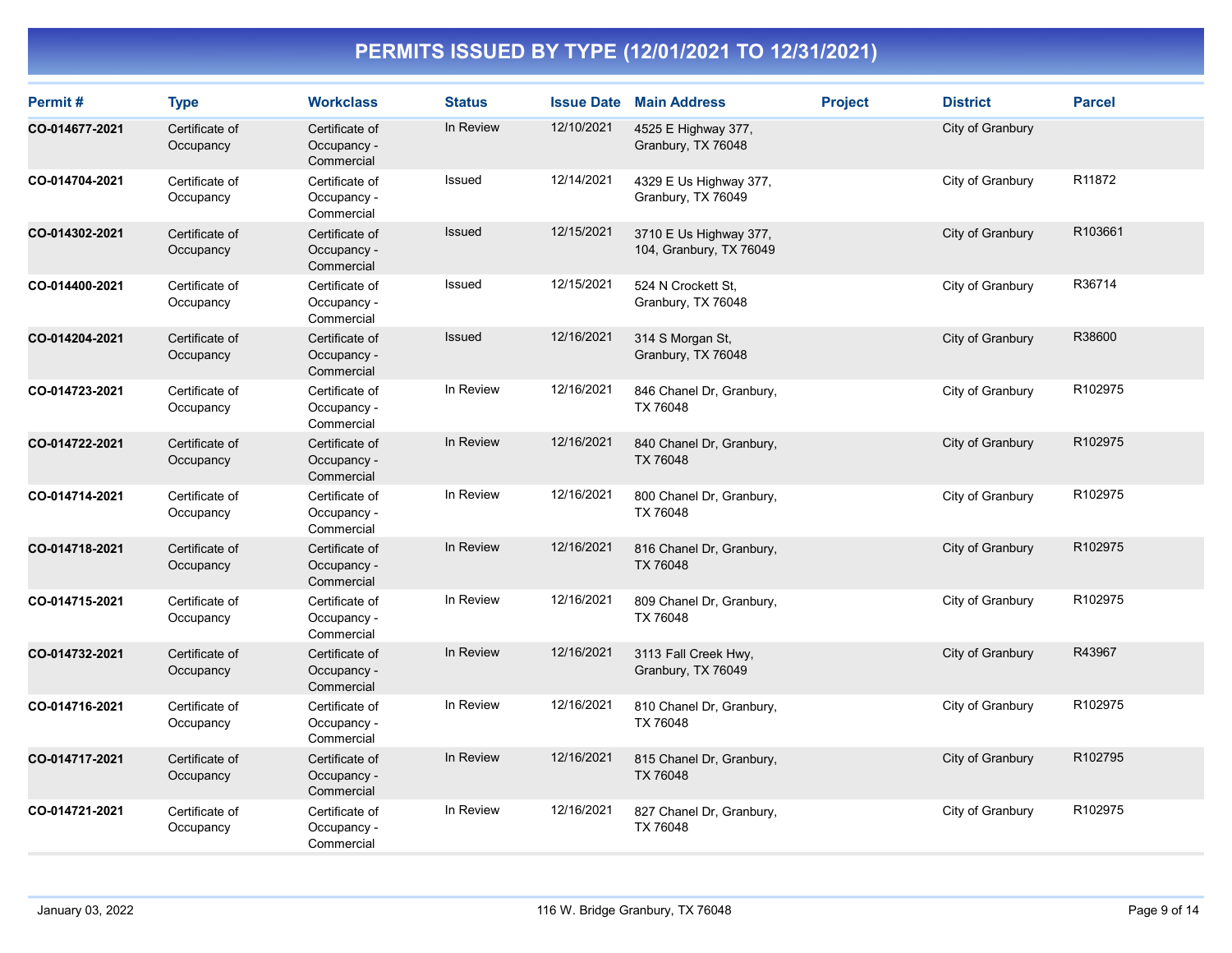| Permit#        | <b>Type</b>                 | <b>Workclass</b>                            | <b>Status</b> | <b>Issue Date</b> | <b>Main Address</b>                               | <b>Project</b> | <b>District</b>  | <b>Parcel</b>      |
|----------------|-----------------------------|---------------------------------------------|---------------|-------------------|---------------------------------------------------|----------------|------------------|--------------------|
| CO-014677-2021 | Certificate of<br>Occupancy | Certificate of<br>Occupancy -<br>Commercial | In Review     | 12/10/2021        | 4525 E Highway 377,<br>Granbury, TX 76048         |                | City of Granbury |                    |
| CO-014704-2021 | Certificate of<br>Occupancy | Certificate of<br>Occupancy -<br>Commercial | Issued        | 12/14/2021        | 4329 E Us Highway 377,<br>Granbury, TX 76049      |                | City of Granbury | R <sub>11872</sub> |
| CO-014302-2021 | Certificate of<br>Occupancy | Certificate of<br>Occupancy -<br>Commercial | <b>Issued</b> | 12/15/2021        | 3710 E Us Highway 377,<br>104, Granbury, TX 76049 |                | City of Granbury | R103661            |
| CO-014400-2021 | Certificate of<br>Occupancy | Certificate of<br>Occupancy -<br>Commercial | Issued        | 12/15/2021        | 524 N Crockett St,<br>Granbury, TX 76048          |                | City of Granbury | R36714             |
| CO-014204-2021 | Certificate of<br>Occupancy | Certificate of<br>Occupancy -<br>Commercial | Issued        | 12/16/2021        | 314 S Morgan St,<br>Granbury, TX 76048            |                | City of Granbury | R38600             |
| CO-014723-2021 | Certificate of<br>Occupancy | Certificate of<br>Occupancy -<br>Commercial | In Review     | 12/16/2021        | 846 Chanel Dr, Granbury,<br>TX 76048              |                | City of Granbury | R102975            |
| CO-014722-2021 | Certificate of<br>Occupancy | Certificate of<br>Occupancy -<br>Commercial | In Review     | 12/16/2021        | 840 Chanel Dr, Granbury,<br>TX 76048              |                | City of Granbury | R102975            |
| CO-014714-2021 | Certificate of<br>Occupancy | Certificate of<br>Occupancy -<br>Commercial | In Review     | 12/16/2021        | 800 Chanel Dr, Granbury,<br>TX 76048              |                | City of Granbury | R102975            |
| CO-014718-2021 | Certificate of<br>Occupancy | Certificate of<br>Occupancy -<br>Commercial | In Review     | 12/16/2021        | 816 Chanel Dr, Granbury,<br>TX 76048              |                | City of Granbury | R102975            |
| CO-014715-2021 | Certificate of<br>Occupancy | Certificate of<br>Occupancy -<br>Commercial | In Review     | 12/16/2021        | 809 Chanel Dr, Granbury,<br>TX 76048              |                | City of Granbury | R102975            |
| CO-014732-2021 | Certificate of<br>Occupancy | Certificate of<br>Occupancy -<br>Commercial | In Review     | 12/16/2021        | 3113 Fall Creek Hwy,<br>Granbury, TX 76049        |                | City of Granbury | R43967             |
| CO-014716-2021 | Certificate of<br>Occupancy | Certificate of<br>Occupancy -<br>Commercial | In Review     | 12/16/2021        | 810 Chanel Dr, Granbury,<br>TX 76048              |                | City of Granbury | R102975            |
| CO-014717-2021 | Certificate of<br>Occupancy | Certificate of<br>Occupancy -<br>Commercial | In Review     | 12/16/2021        | 815 Chanel Dr, Granbury,<br>TX 76048              |                | City of Granbury | R102795            |
| CO-014721-2021 | Certificate of<br>Occupancy | Certificate of<br>Occupancy -<br>Commercial | In Review     | 12/16/2021        | 827 Chanel Dr, Granbury,<br>TX 76048              |                | City of Granbury | R102975            |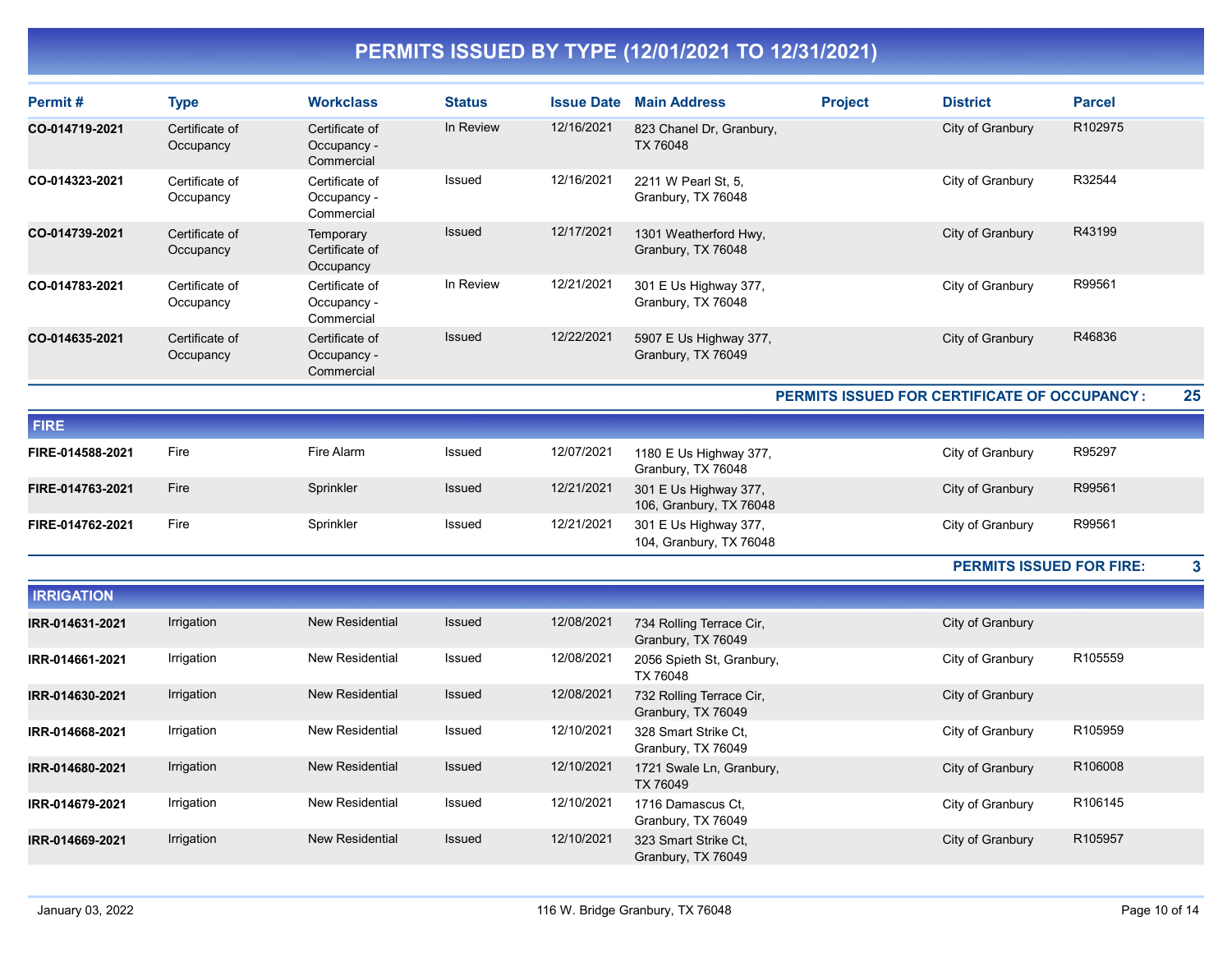| Permit#        | <b>Type</b>                 | <b>Workclass</b>                            | <b>Status</b> | <b>Issue Date</b> | <b>Main Address</b>                          | <b>Project</b> | <b>District</b>  | <b>Parcel</b>       |
|----------------|-----------------------------|---------------------------------------------|---------------|-------------------|----------------------------------------------|----------------|------------------|---------------------|
| CO-014719-2021 | Certificate of<br>Occupancy | Certificate of<br>Occupancy -<br>Commercial | In Review     | 12/16/2021        | 823 Chanel Dr. Granbury,<br>TX 76048         |                | City of Granbury | R <sub>102975</sub> |
| CO-014323-2021 | Certificate of<br>Occupancy | Certificate of<br>Occupancy -<br>Commercial | Issued        | 12/16/2021        | 2211 W Pearl St. 5.<br>Granbury, TX 76048    |                | City of Granbury | R32544              |
| CO-014739-2021 | Certificate of<br>Occupancy | Temporary<br>Certificate of<br>Occupancy    | Issued        | 12/17/2021        | 1301 Weatherford Hwy,<br>Granbury, TX 76048  |                | City of Granbury | R43199              |
| CO-014783-2021 | Certificate of<br>Occupancy | Certificate of<br>Occupancy -<br>Commercial | In Review     | 12/21/2021        | 301 E Us Highway 377,<br>Granbury, TX 76048  |                | City of Granbury | R99561              |
| CO-014635-2021 | Certificate of<br>Occupancy | Certificate of<br>Occupancy -<br>Commercial | <b>Issued</b> | 12/22/2021        | 5907 E Us Highway 377,<br>Granbury, TX 76049 |                | City of Granbury | R46836              |

PERMITS ISSUED FOR CERTIFICATE OF OCCUPANCY : 25

| <b>FIRE</b>      |      |            |               |            |                                                  |                  |        |
|------------------|------|------------|---------------|------------|--------------------------------------------------|------------------|--------|
| FIRE-014588-2021 | Fire | Fire Alarm | Issued        | 12/07/2021 | 1180 E Us Highway 377,<br>Granbury, TX 76048     | City of Granbury | R95297 |
| FIRE-014763-2021 | Fire | Sprinkler  | <b>Issued</b> | 12/21/2021 | 301 E Us Highway 377,<br>106, Granbury, TX 76048 | City of Granbury | R99561 |
| FIRE-014762-2021 | Fire | Sprinkler  | Issued        | 12/21/2021 | 301 E Us Highway 377,<br>104, Granbury, TX 76048 | City of Granbury | R99561 |

PERMITS ISSUED FOR FIRE: 3

| <b>IRRIGATION</b> |            |                        |               |            |                                                |                  |         |
|-------------------|------------|------------------------|---------------|------------|------------------------------------------------|------------------|---------|
| IRR-014631-2021   | Irrigation | <b>New Residential</b> | <b>Issued</b> | 12/08/2021 | 734 Rolling Terrace Cir,<br>Granbury, TX 76049 | City of Granbury |         |
| IRR-014661-2021   | Irrigation | <b>New Residential</b> | Issued        | 12/08/2021 | 2056 Spieth St, Granbury,<br>TX 76048          | City of Granbury | R105559 |
| IRR-014630-2021   | Irrigation | <b>New Residential</b> | <b>Issued</b> | 12/08/2021 | 732 Rolling Terrace Cir,<br>Granbury, TX 76049 | City of Granbury |         |
| IRR-014668-2021   | Irrigation | New Residential        | Issued        | 12/10/2021 | 328 Smart Strike Ct.<br>Granbury, TX 76049     | City of Granbury | R105959 |
| IRR-014680-2021   | Irrigation | <b>New Residential</b> | <b>Issued</b> | 12/10/2021 | 1721 Swale Ln, Granbury,<br>TX 76049           | City of Granbury | R106008 |
| IRR-014679-2021   | Irrigation | <b>New Residential</b> | Issued        | 12/10/2021 | 1716 Damascus Ct,<br>Granbury, TX 76049        | City of Granbury | R106145 |
| IRR-014669-2021   | Irrigation | <b>New Residential</b> | <b>Issued</b> | 12/10/2021 | 323 Smart Strike Ct.<br>Granbury, TX 76049     | City of Granbury | R105957 |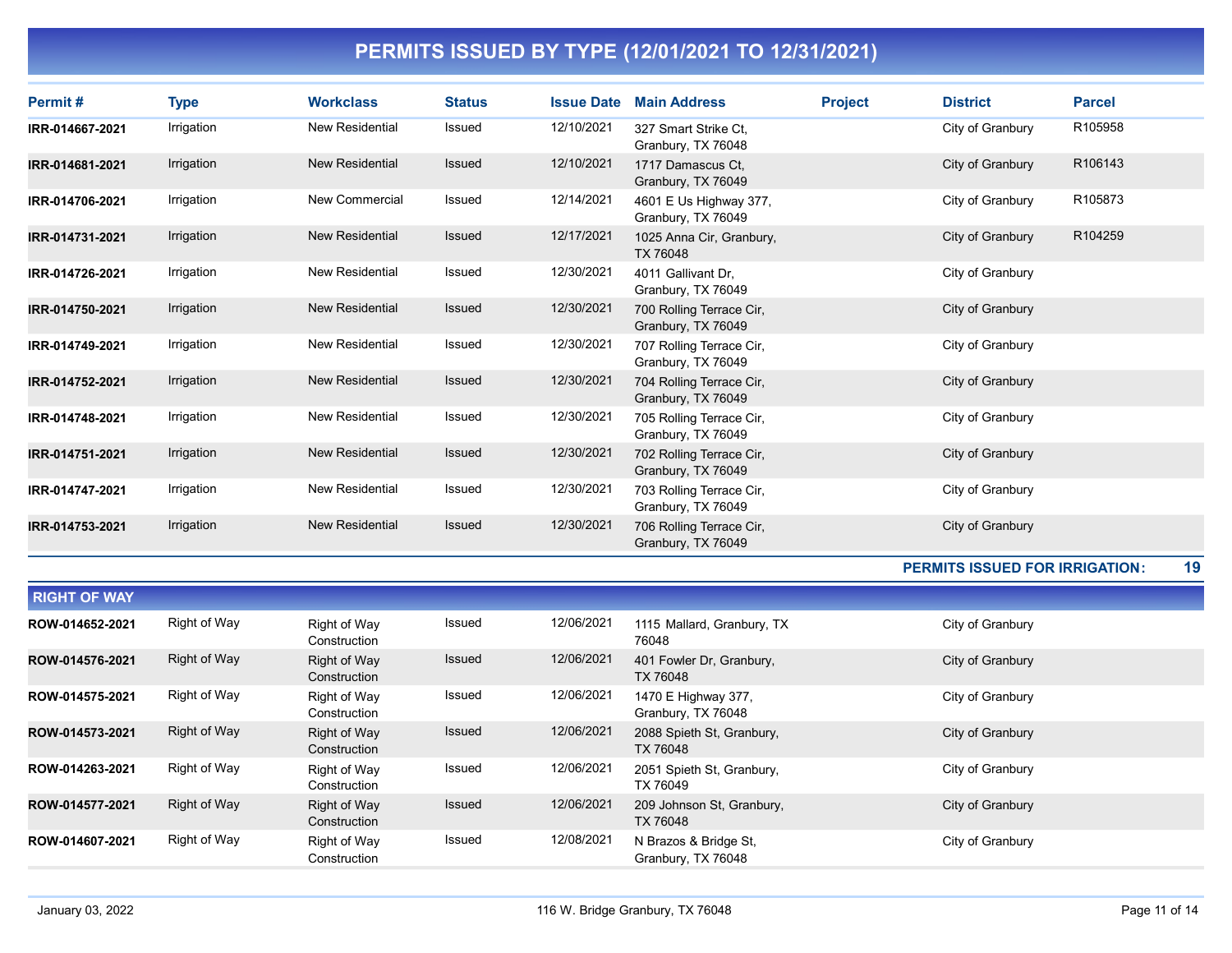| Permit#         | <b>Type</b> | <b>Workclass</b>       | <b>Status</b> | <b>Issue Date</b> | <b>Main Address</b>                            | <b>Project</b> | <b>District</b>  | <b>Parcel</b> |
|-----------------|-------------|------------------------|---------------|-------------------|------------------------------------------------|----------------|------------------|---------------|
| IRR-014667-2021 | Irrigation  | New Residential        | Issued        | 12/10/2021        | 327 Smart Strike Ct.<br>Granbury, TX 76048     |                | City of Granbury | R105958       |
| IRR-014681-2021 | Irrigation  | <b>New Residential</b> | Issued        | 12/10/2021        | 1717 Damascus Ct.<br>Granbury, TX 76049        |                | City of Granbury | R106143       |
| IRR-014706-2021 | Irrigation  | <b>New Commercial</b>  | Issued        | 12/14/2021        | 4601 E Us Highway 377,<br>Granbury, TX 76049   |                | City of Granbury | R105873       |
| IRR-014731-2021 | Irrigation  | <b>New Residential</b> | Issued        | 12/17/2021        | 1025 Anna Cir, Granbury,<br>TX 76048           |                | City of Granbury | R104259       |
| IRR-014726-2021 | Irrigation  | New Residential        | Issued        | 12/30/2021        | 4011 Gallivant Dr.<br>Granbury, TX 76049       |                | City of Granbury |               |
| IRR-014750-2021 | Irrigation  | <b>New Residential</b> | <b>Issued</b> | 12/30/2021        | 700 Rolling Terrace Cir,<br>Granbury, TX 76049 |                | City of Granbury |               |
| IRR-014749-2021 | Irrigation  | <b>New Residential</b> | Issued        | 12/30/2021        | 707 Rolling Terrace Cir,<br>Granbury, TX 76049 |                | City of Granbury |               |
| IRR-014752-2021 | Irrigation  | <b>New Residential</b> | <b>Issued</b> | 12/30/2021        | 704 Rolling Terrace Cir,<br>Granbury, TX 76049 |                | City of Granbury |               |
| IRR-014748-2021 | Irrigation  | New Residential        | Issued        | 12/30/2021        | 705 Rolling Terrace Cir,<br>Granbury, TX 76049 |                | City of Granbury |               |
| IRR-014751-2021 | Irrigation  | <b>New Residential</b> | <b>Issued</b> | 12/30/2021        | 702 Rolling Terrace Cir,<br>Granbury, TX 76049 |                | City of Granbury |               |
| IRR-014747-2021 | Irrigation  | New Residential        | Issued        | 12/30/2021        | 703 Rolling Terrace Cir,<br>Granbury, TX 76049 |                | City of Granbury |               |
| IRR-014753-2021 | Irrigation  | <b>New Residential</b> | <b>Issued</b> | 12/30/2021        | 706 Rolling Terrace Cir,<br>Granbury, TX 76049 |                | City of Granbury |               |

#### PERMITS ISSUED FOR IRRIGATION: 19

| <b>RIGHT OF WAY</b> |              |                              |        |            |                                             |                  |
|---------------------|--------------|------------------------------|--------|------------|---------------------------------------------|------------------|
| ROW-014652-2021     | Right of Way | Right of Way<br>Construction | Issued | 12/06/2021 | 1115 Mallard, Granbury, TX<br>76048         | City of Granbury |
| ROW-014576-2021     | Right of Way | Right of Way<br>Construction | Issued | 12/06/2021 | 401 Fowler Dr. Granbury,<br>TX 76048        | City of Granbury |
| ROW-014575-2021     | Right of Way | Right of Way<br>Construction | Issued | 12/06/2021 | 1470 E Highway 377,<br>Granbury, TX 76048   | City of Granbury |
| ROW-014573-2021     | Right of Way | Right of Way<br>Construction | Issued | 12/06/2021 | 2088 Spieth St. Granbury,<br>TX 76048       | City of Granbury |
| ROW-014263-2021     | Right of Way | Right of Way<br>Construction | Issued | 12/06/2021 | 2051 Spieth St, Granbury,<br>TX 76049       | City of Granbury |
| ROW-014577-2021     | Right of Way | Right of Way<br>Construction | Issued | 12/06/2021 | 209 Johnson St, Granbury,<br>TX 76048       | City of Granbury |
| ROW-014607-2021     | Right of Way | Right of Way<br>Construction | Issued | 12/08/2021 | N Brazos & Bridge St.<br>Granbury, TX 76048 | City of Granbury |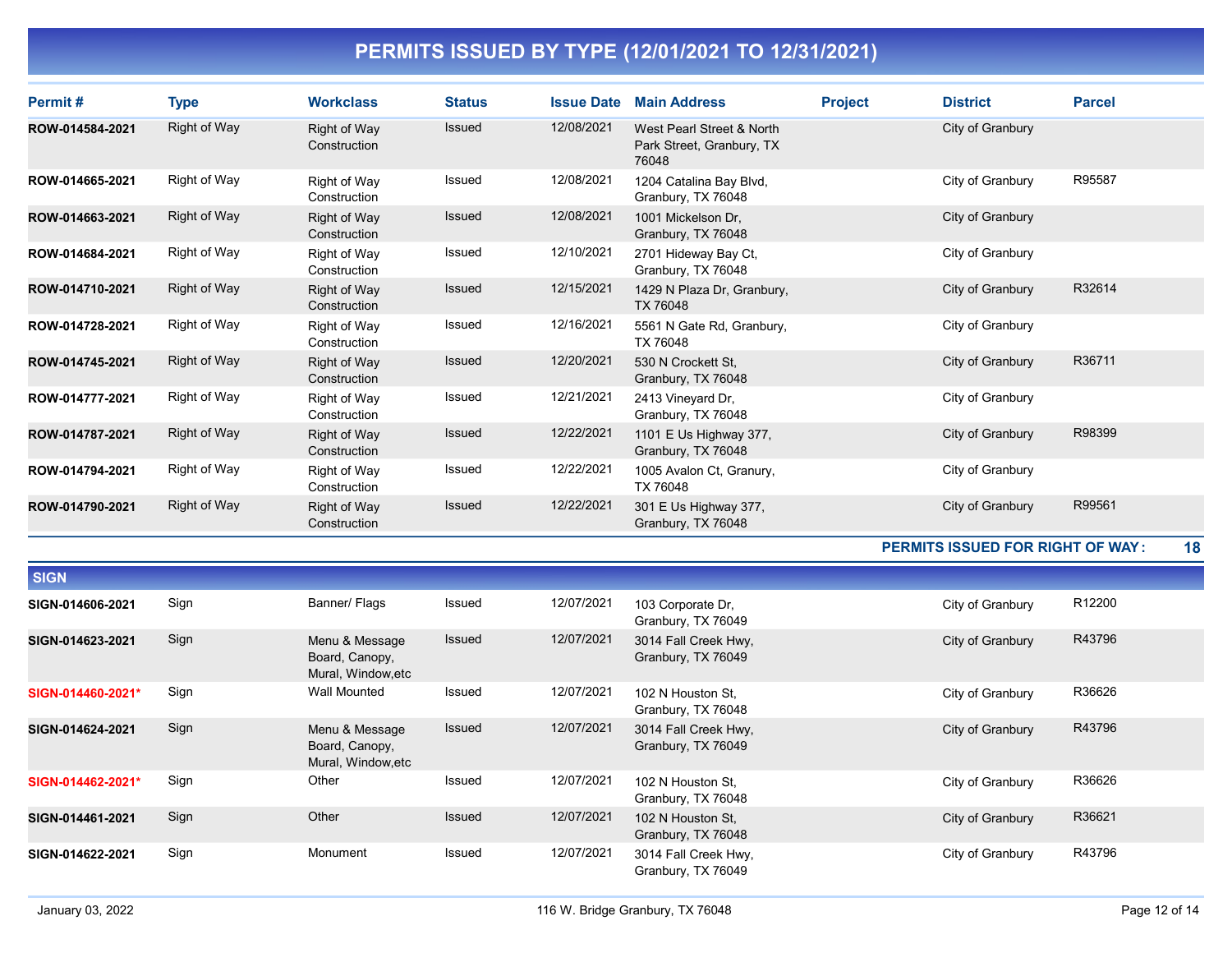| Permit#         | <b>Type</b>         | <b>Workclass</b>             | <b>Status</b> | <b>Issue Date</b> | <b>Main Address</b>                                             | <b>Project</b> | <b>District</b>  | <b>Parcel</b> |
|-----------------|---------------------|------------------------------|---------------|-------------------|-----------------------------------------------------------------|----------------|------------------|---------------|
| ROW-014584-2021 | Right of Way        | Right of Way<br>Construction | <b>Issued</b> | 12/08/2021        | West Pearl Street & North<br>Park Street, Granbury, TX<br>76048 |                | City of Granbury |               |
| ROW-014665-2021 | Right of Way        | Right of Way<br>Construction | Issued        | 12/08/2021        | 1204 Catalina Bay Blvd,<br>Granbury, TX 76048                   |                | City of Granbury | R95587        |
| ROW-014663-2021 | Right of Way        | Right of Way<br>Construction | Issued        | 12/08/2021        | 1001 Mickelson Dr.<br>Granbury, TX 76048                        |                | City of Granbury |               |
| ROW-014684-2021 | Right of Way        | Right of Way<br>Construction | Issued        | 12/10/2021        | 2701 Hideway Bay Ct,<br>Granbury, TX 76048                      |                | City of Granbury |               |
| ROW-014710-2021 | Right of Way        | Right of Way<br>Construction | <b>Issued</b> | 12/15/2021        | 1429 N Plaza Dr, Granbury,<br>TX 76048                          |                | City of Granbury | R32614        |
| ROW-014728-2021 | Right of Way        | Right of Way<br>Construction | Issued        | 12/16/2021        | 5561 N Gate Rd, Granbury,<br>TX 76048                           |                | City of Granbury |               |
| ROW-014745-2021 | Right of Way        | Right of Way<br>Construction | <b>Issued</b> | 12/20/2021        | 530 N Crockett St.<br>Granbury, TX 76048                        |                | City of Granbury | R36711        |
| ROW-014777-2021 | Right of Way        | Right of Way<br>Construction | Issued        | 12/21/2021        | 2413 Vineyard Dr,<br>Granbury, TX 76048                         |                | City of Granbury |               |
| ROW-014787-2021 | Right of Way        | Right of Way<br>Construction | Issued        | 12/22/2021        | 1101 E Us Highway 377,<br>Granbury, TX 76048                    |                | City of Granbury | R98399        |
| ROW-014794-2021 | Right of Way        | Right of Way<br>Construction | Issued        | 12/22/2021        | 1005 Avalon Ct, Granury,<br>TX 76048                            |                | City of Granbury |               |
| ROW-014790-2021 | <b>Right of Way</b> | Right of Way<br>Construction | Issued        | 12/22/2021        | 301 E Us Highway 377,<br>Granbury, TX 76048                     |                | City of Granbury | R99561        |

#### PERMITS ISSUED FOR RIGHT OF WAY : 18

| <b>SIGN</b>       |      |                                                        |               |            |                                            |                  |                    |
|-------------------|------|--------------------------------------------------------|---------------|------------|--------------------------------------------|------------------|--------------------|
| SIGN-014606-2021  | Sign | Banner/ Flags                                          | Issued        | 12/07/2021 | 103 Corporate Dr.<br>Granbury, TX 76049    | City of Granbury | R <sub>12200</sub> |
| SIGN-014623-2021  | Sign | Menu & Message<br>Board, Canopy,<br>Mural, Window, etc | Issued        | 12/07/2021 | 3014 Fall Creek Hwy,<br>Granbury, TX 76049 | City of Granbury | R43796             |
| SIGN-014460-2021* | Sign | <b>Wall Mounted</b>                                    | Issued        | 12/07/2021 | 102 N Houston St.<br>Granbury, TX 76048    | City of Granbury | R36626             |
| SIGN-014624-2021  | Sign | Menu & Message<br>Board, Canopy,<br>Mural, Window, etc | Issued        | 12/07/2021 | 3014 Fall Creek Hwy,<br>Granbury, TX 76049 | City of Granbury | R43796             |
| SIGN-014462-2021* | Sign | Other                                                  | Issued        | 12/07/2021 | 102 N Houston St.<br>Granbury, TX 76048    | City of Granbury | R36626             |
| SIGN-014461-2021  | Sign | Other                                                  | <b>Issued</b> | 12/07/2021 | 102 N Houston St.<br>Granbury, TX 76048    | City of Granbury | R36621             |
| SIGN-014622-2021  | Sign | Monument                                               | Issued        | 12/07/2021 | 3014 Fall Creek Hwy,<br>Granbury, TX 76049 | City of Granbury | R43796             |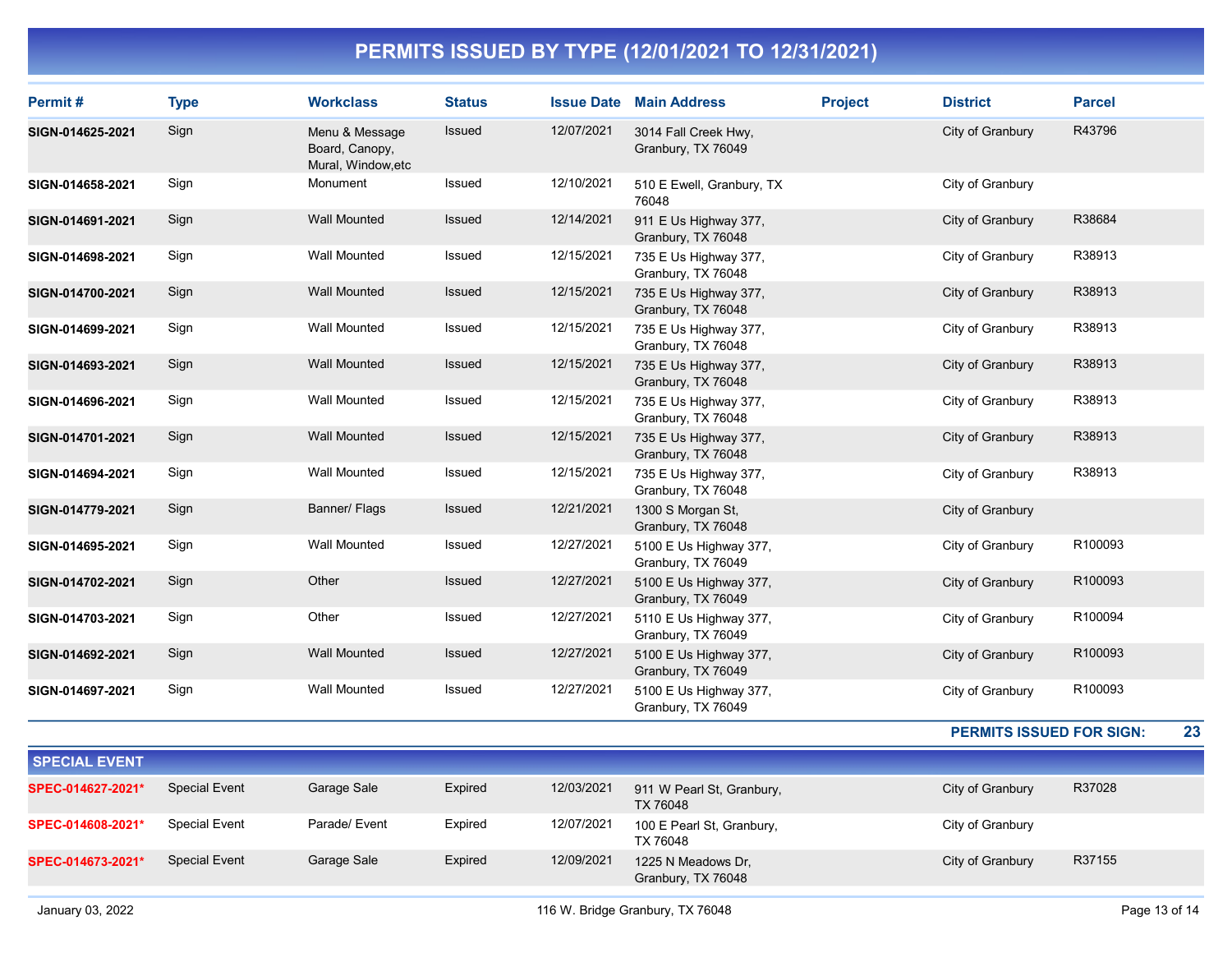| Permit#          | <b>Type</b> | <b>Workclass</b>                                       | <b>Status</b> | <b>Issue Date</b> | <b>Main Address</b>                          | <b>Project</b> | <b>District</b>  | <b>Parcel</b> |
|------------------|-------------|--------------------------------------------------------|---------------|-------------------|----------------------------------------------|----------------|------------------|---------------|
| SIGN-014625-2021 | Sign        | Menu & Message<br>Board, Canopy,<br>Mural, Window, etc | <b>Issued</b> | 12/07/2021        | 3014 Fall Creek Hwy,<br>Granbury, TX 76049   |                | City of Granbury | R43796        |
| SIGN-014658-2021 | Sign        | Monument                                               | Issued        | 12/10/2021        | 510 E Ewell, Granbury, TX<br>76048           |                | City of Granbury |               |
| SIGN-014691-2021 | Sign        | <b>Wall Mounted</b>                                    | <b>Issued</b> | 12/14/2021        | 911 E Us Highway 377,<br>Granbury, TX 76048  |                | City of Granbury | R38684        |
| SIGN-014698-2021 | Sign        | <b>Wall Mounted</b>                                    | Issued        | 12/15/2021        | 735 E Us Highway 377,<br>Granbury, TX 76048  |                | City of Granbury | R38913        |
| SIGN-014700-2021 | Sign        | <b>Wall Mounted</b>                                    | <b>Issued</b> | 12/15/2021        | 735 E Us Highway 377,<br>Granbury, TX 76048  |                | City of Granbury | R38913        |
| SIGN-014699-2021 | Sign        | <b>Wall Mounted</b>                                    | Issued        | 12/15/2021        | 735 E Us Highway 377,<br>Granbury, TX 76048  |                | City of Granbury | R38913        |
| SIGN-014693-2021 | Sign        | <b>Wall Mounted</b>                                    | Issued        | 12/15/2021        | 735 E Us Highway 377,<br>Granbury, TX 76048  |                | City of Granbury | R38913        |
| SIGN-014696-2021 | Sign        | <b>Wall Mounted</b>                                    | Issued        | 12/15/2021        | 735 E Us Highway 377,<br>Granbury, TX 76048  |                | City of Granbury | R38913        |
| SIGN-014701-2021 | Sign        | <b>Wall Mounted</b>                                    | Issued        | 12/15/2021        | 735 E Us Highway 377,<br>Granbury, TX 76048  |                | City of Granbury | R38913        |
| SIGN-014694-2021 | Sign        | <b>Wall Mounted</b>                                    | Issued        | 12/15/2021        | 735 E Us Highway 377,<br>Granbury, TX 76048  |                | City of Granbury | R38913        |
| SIGN-014779-2021 | Sign        | Banner/ Flags                                          | Issued        | 12/21/2021        | 1300 S Morgan St.<br>Granbury, TX 76048      |                | City of Granbury |               |
| SIGN-014695-2021 | Sign        | <b>Wall Mounted</b>                                    | <b>Issued</b> | 12/27/2021        | 5100 E Us Highway 377,<br>Granbury, TX 76049 |                | City of Granbury | R100093       |
| SIGN-014702-2021 | Sign        | Other                                                  | Issued        | 12/27/2021        | 5100 E Us Highway 377,<br>Granbury, TX 76049 |                | City of Granbury | R100093       |
| SIGN-014703-2021 | Sign        | Other                                                  | Issued        | 12/27/2021        | 5110 E Us Highway 377,<br>Granbury, TX 76049 |                | City of Granbury | R100094       |
| SIGN-014692-2021 | Sign        | <b>Wall Mounted</b>                                    | <b>Issued</b> | 12/27/2021        | 5100 E Us Highway 377,<br>Granbury, TX 76049 |                | City of Granbury | R100093       |
| SIGN-014697-2021 | Sign        | <b>Wall Mounted</b>                                    | Issued        | 12/27/2021        | 5100 E Us Highway 377,<br>Granbury, TX 76049 |                | City of Granbury | R100093       |

PERMITS ISSUED FOR SIGN: 23

| <b>SPECIAL EVENT</b> |                      |               |         |            |                                              |                  |        |
|----------------------|----------------------|---------------|---------|------------|----------------------------------------------|------------------|--------|
| SPEC-014627-2021*    | <b>Special Event</b> | Garage Sale   | Expired | 12/03/2021 | 911 W Pearl St, Granbury,<br><b>TX 76048</b> | City of Granbury | R37028 |
| SPEC-014608-2021*    | <b>Special Event</b> | Parade/ Event | Expired | 12/07/2021 | 100 E Pearl St, Granbury,<br>TX 76048        | City of Granbury |        |
| SPEC-014673-2021*    | <b>Special Event</b> | Garage Sale   | Expired | 12/09/2021 | 1225 N Meadows Dr.<br>Granbury, TX 76048     | City of Granbury | R37155 |